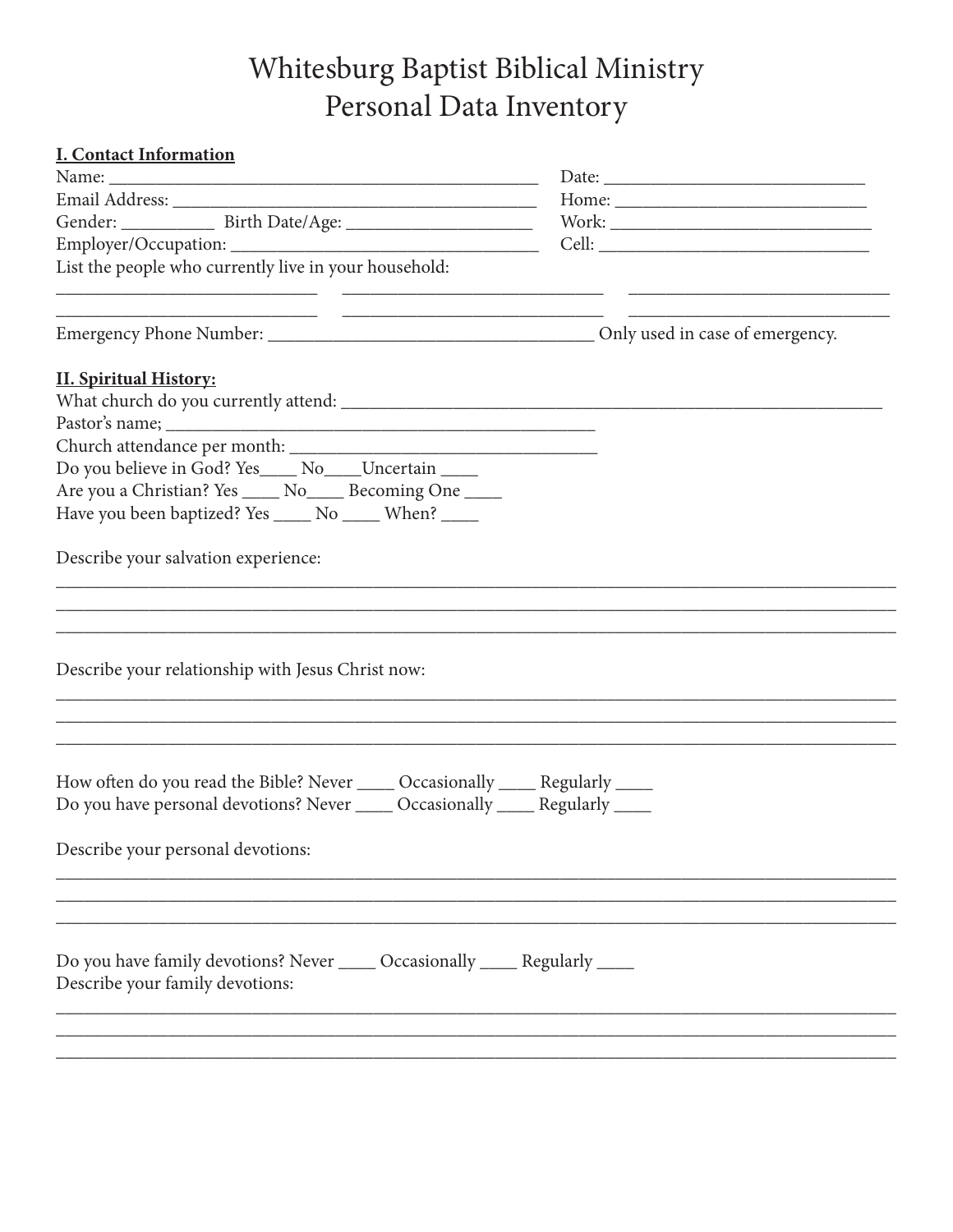## Whitesburg Baptist Biblical Ministry Personal Data Inventory

| <b>I. Contact Information</b>                                                                                    |  |
|------------------------------------------------------------------------------------------------------------------|--|
|                                                                                                                  |  |
|                                                                                                                  |  |
|                                                                                                                  |  |
|                                                                                                                  |  |
| List the people who currently live in your household:                                                            |  |
|                                                                                                                  |  |
| <b>II. Spiritual History:</b>                                                                                    |  |
|                                                                                                                  |  |
|                                                                                                                  |  |
|                                                                                                                  |  |
| Do you believe in God? Yes_____ No____Uncertain _____                                                            |  |
| Are you a Christian? Yes _____ No_____ Becoming One _____                                                        |  |
| Have you been baptized? Yes _____ No _____ When? ____                                                            |  |
|                                                                                                                  |  |
| Describe your salvation experience:                                                                              |  |
|                                                                                                                  |  |
|                                                                                                                  |  |
|                                                                                                                  |  |
| Describe your relationship with Jesus Christ now:                                                                |  |
|                                                                                                                  |  |
|                                                                                                                  |  |
|                                                                                                                  |  |
| How often do you read the Bible? Never ______ Occasionally _____ Regularly _____                                 |  |
| Do you have personal devotions? Never _____ Occasionally _____ Regularly _____                                   |  |
| Describe your personal devotions:                                                                                |  |
|                                                                                                                  |  |
|                                                                                                                  |  |
|                                                                                                                  |  |
| Do you have family devotions? Never ______ Occasionally _____ Regularly _____<br>Describe your family devotions: |  |
|                                                                                                                  |  |
|                                                                                                                  |  |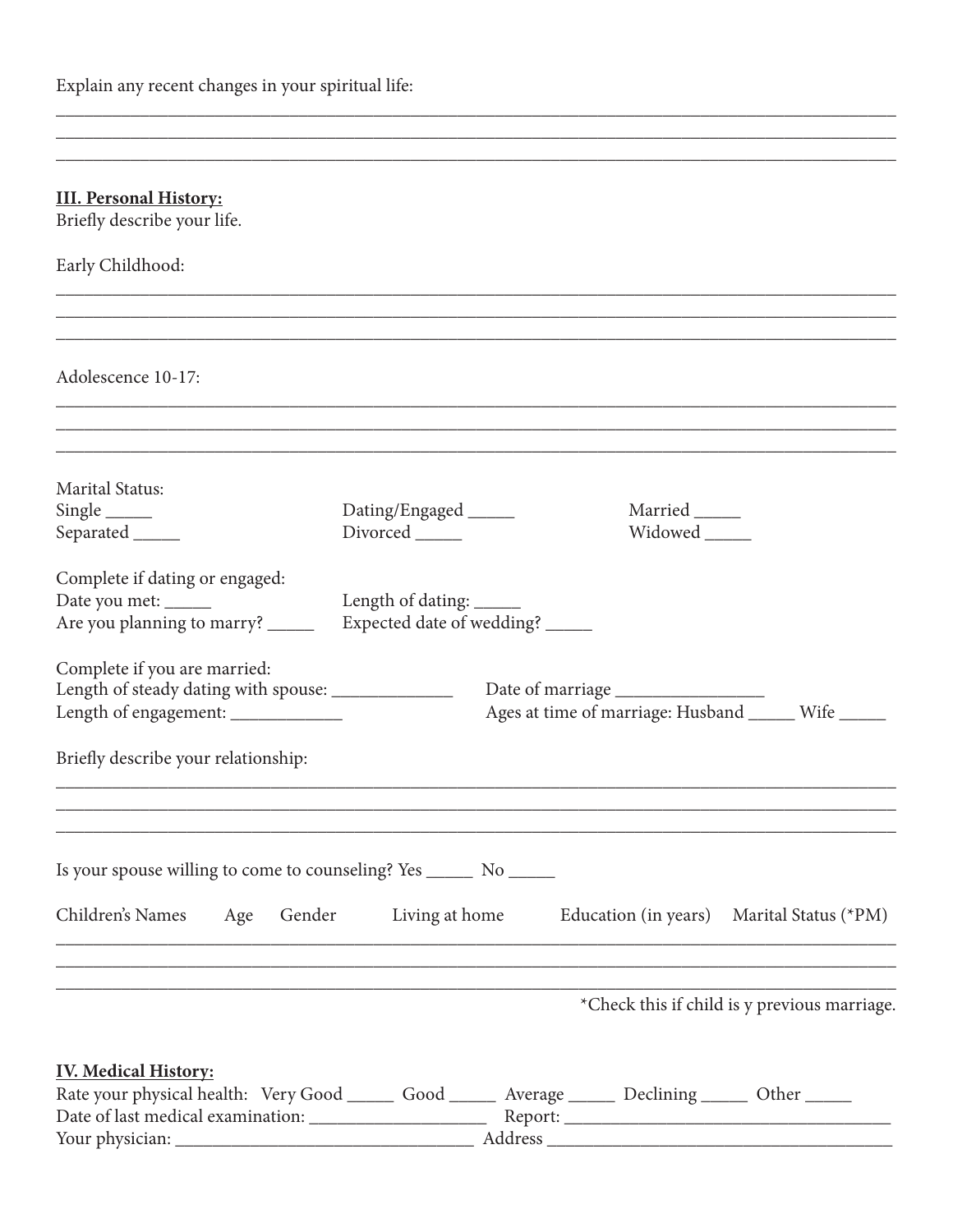Explain any recent changes in your spiritual life:

 $\overline{\phantom{a}}$  . The contract of  $\overline{\phantom{a}}$ 

| <b>III. Personal History:</b><br>Briefly describe your life.                                                                            |                           |                |                                                    |
|-----------------------------------------------------------------------------------------------------------------------------------------|---------------------------|----------------|----------------------------------------------------|
| Early Childhood:                                                                                                                        |                           |                |                                                    |
|                                                                                                                                         |                           |                |                                                    |
| Adolescence 10-17:                                                                                                                      |                           |                |                                                    |
| <b>Marital Status:</b>                                                                                                                  |                           |                |                                                    |
| $Single$ <sub>______</sub>                                                                                                              | Dating/Engaged ______     | Married ______ |                                                    |
| Separated ______                                                                                                                        | Divorced                  |                |                                                    |
| Complete if dating or engaged:                                                                                                          |                           |                |                                                    |
| Date you met: ______                                                                                                                    | Length of dating: _____   |                |                                                    |
| Are you planning to marry? ______                                                                                                       | Expected date of wedding? |                |                                                    |
| Complete if you are married:                                                                                                            |                           |                |                                                    |
| Length of steady dating with spouse: _______________                                                                                    |                           |                |                                                    |
| Length of engagement: _____________                                                                                                     |                           |                | Ages at time of marriage: Husband _____ Wife _____ |
| Briefly describe your relationship:                                                                                                     |                           |                |                                                    |
|                                                                                                                                         |                           |                |                                                    |
| Is your spouse willing to come to counseling? Yes _________ No _______                                                                  |                           |                |                                                    |
| Children's Names<br>Gender<br>Age                                                                                                       | Living at home            |                | Education (in years) Marital Status (*PM)          |
| ,我们也不会有什么。""我们的人,我们也不会有什么?""我们的人,我们也不会有什么?""我们的人,我们也不会有什么?""我们的人,我们也不会有什么?""我们的人                                                        |                           |                | *Check this if child is y previous marriage.       |
|                                                                                                                                         |                           |                |                                                    |
| <b>IV. Medical History:</b><br>Rate your physical health: Very Good _______ Good _______ Average _______ Declining _______ Other ______ |                           |                |                                                    |
|                                                                                                                                         |                           |                |                                                    |

<u> 1980 - Johann Harry Harry Harry Harry Harry Harry Harry Harry Harry Harry Harry Harry Harry Harry Harry Harry</u>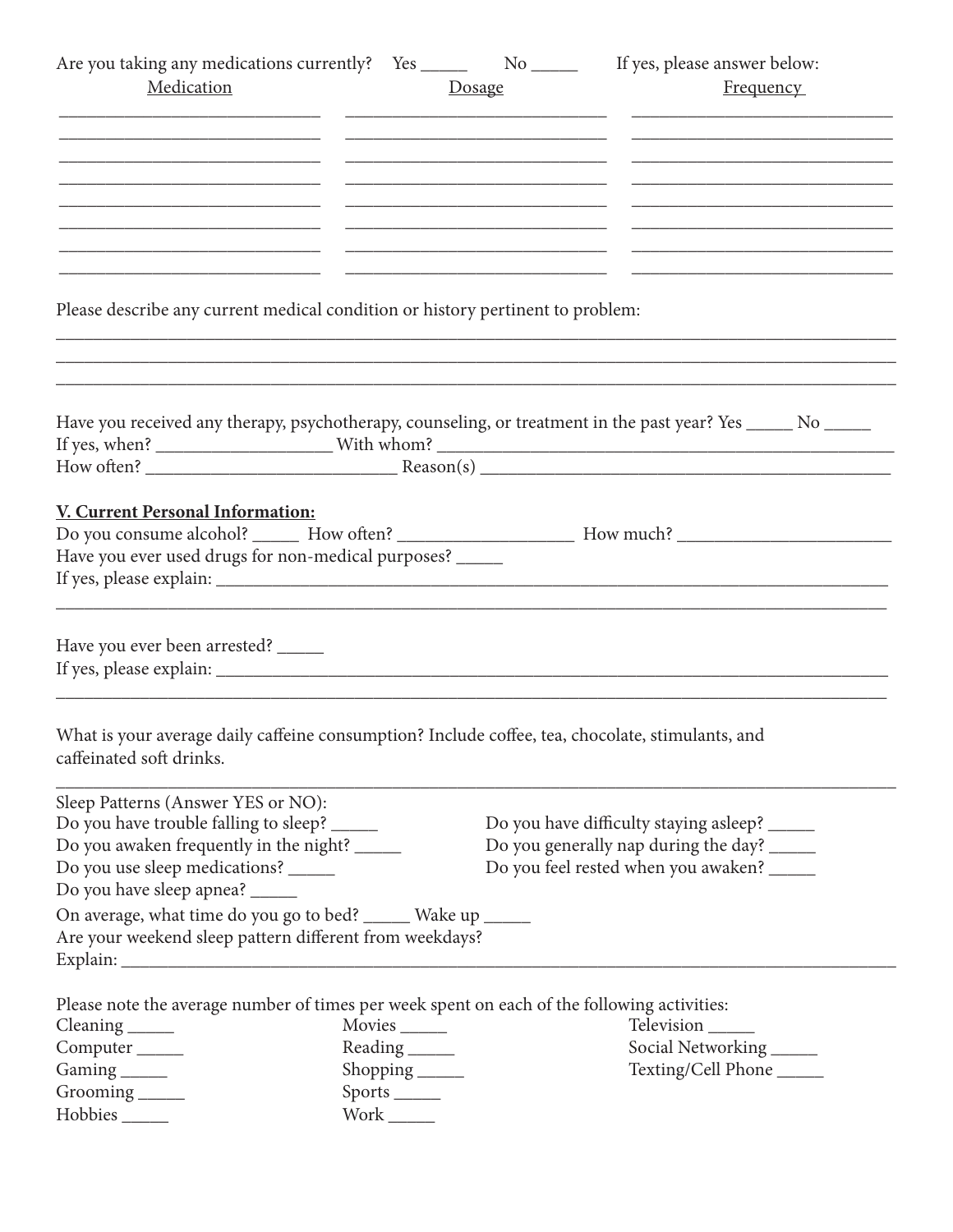| Are you taking any medications currently? Yes _______ No ______ If yes, please answer below:     |                            |                                                                                           |                                                                                                                |
|--------------------------------------------------------------------------------------------------|----------------------------|-------------------------------------------------------------------------------------------|----------------------------------------------------------------------------------------------------------------|
| Medication                                                                                       |                            | Dosage                                                                                    | <b>Frequency</b>                                                                                               |
|                                                                                                  |                            |                                                                                           |                                                                                                                |
|                                                                                                  |                            |                                                                                           |                                                                                                                |
|                                                                                                  |                            | the control of the control of the control of the control of the control of the control of | the control of the control of the control of the control of the control of the control of                      |
|                                                                                                  |                            | the control of the control of the control of the control of the control of the control of |                                                                                                                |
|                                                                                                  |                            |                                                                                           |                                                                                                                |
|                                                                                                  |                            |                                                                                           | the control of the control of the control of the control of the control of the control of                      |
|                                                                                                  |                            |                                                                                           |                                                                                                                |
|                                                                                                  |                            |                                                                                           |                                                                                                                |
|                                                                                                  |                            |                                                                                           |                                                                                                                |
| Please describe any current medical condition or history pertinent to problem:                   |                            |                                                                                           |                                                                                                                |
|                                                                                                  |                            |                                                                                           |                                                                                                                |
|                                                                                                  |                            |                                                                                           |                                                                                                                |
|                                                                                                  |                            |                                                                                           |                                                                                                                |
|                                                                                                  |                            |                                                                                           | Have you received any therapy, psychotherapy, counseling, or treatment in the past year? Yes _____ No _____    |
|                                                                                                  |                            |                                                                                           |                                                                                                                |
|                                                                                                  |                            |                                                                                           |                                                                                                                |
|                                                                                                  |                            |                                                                                           |                                                                                                                |
| V. Current Personal Information:                                                                 |                            |                                                                                           |                                                                                                                |
|                                                                                                  |                            |                                                                                           | Do you consume alcohol? _______ How often? ________________________ How much? ________________________________ |
| Have you ever used drugs for non-medical purposes? _____                                         |                            |                                                                                           |                                                                                                                |
|                                                                                                  |                            |                                                                                           |                                                                                                                |
|                                                                                                  |                            |                                                                                           |                                                                                                                |
|                                                                                                  |                            |                                                                                           |                                                                                                                |
| Have you ever been arrested? _____                                                               |                            |                                                                                           |                                                                                                                |
|                                                                                                  |                            |                                                                                           |                                                                                                                |
|                                                                                                  |                            |                                                                                           |                                                                                                                |
|                                                                                                  |                            |                                                                                           |                                                                                                                |
| What is your average daily caffeine consumption? Include coffee, tea, chocolate, stimulants, and |                            |                                                                                           |                                                                                                                |
| caffeinated soft drinks.                                                                         |                            |                                                                                           |                                                                                                                |
|                                                                                                  |                            |                                                                                           |                                                                                                                |
| Sleep Patterns (Answer YES or NO):                                                               |                            |                                                                                           |                                                                                                                |
| Do you have trouble falling to sleep? ______                                                     |                            |                                                                                           | Do you have difficulty staying asleep? ______                                                                  |
| Do you awaken frequently in the night? ______                                                    |                            |                                                                                           | Do you generally nap during the day? ______                                                                    |
| Do you use sleep medications? ______                                                             |                            |                                                                                           | Do you feel rested when you awaken? ______                                                                     |
| Do you have sleep apnea? ______                                                                  |                            |                                                                                           |                                                                                                                |
| On average, what time do you go to bed? _____ Wake up _____                                      |                            |                                                                                           |                                                                                                                |
| Are your weekend sleep pattern different from weekdays?                                          |                            |                                                                                           |                                                                                                                |
|                                                                                                  |                            |                                                                                           |                                                                                                                |
|                                                                                                  |                            |                                                                                           |                                                                                                                |
| Please note the average number of times per week spent on each of the following activities:      |                            |                                                                                           |                                                                                                                |
| $\text{Clearly} \_\_\_\_\$                                                                       | Movies ______              |                                                                                           | Television                                                                                                     |
| Computer <sub>_____</sub>                                                                        | Reading _______            |                                                                                           | Social Networking                                                                                              |
| Gaming                                                                                           | Shopping                   |                                                                                           | Texting/Cell Phone                                                                                             |
| Grooming _____                                                                                   | Sports ______              |                                                                                           |                                                                                                                |
| Hobbies ______                                                                                   | $Work$ <sub>________</sub> |                                                                                           |                                                                                                                |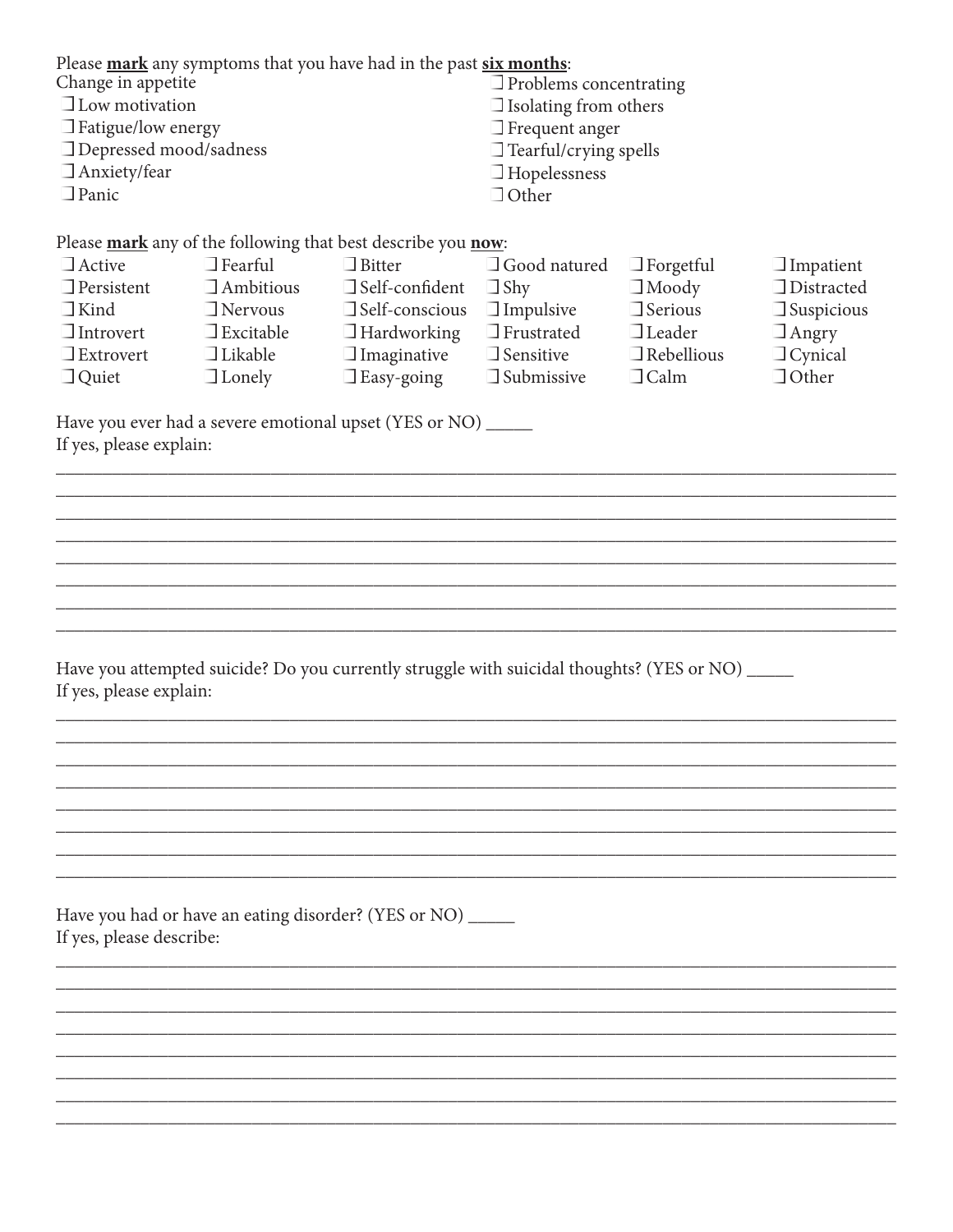| Change in appetite<br>$\Box$ Low motivation<br>$\Box$ Fatigue/low energy<br>□ Depressed mood/sadness<br>$\Box$ Anxiety/fear<br>$\Box$ Panic |                                                                                                             | Please mark any symptoms that you have had in the past six months:                                                                                                                                                                                                | $\Box$ Problems concentrating<br>$\Box$ Isolating from others<br>$\Box$ Frequent anger<br>$\Box$ Tearful/crying spells<br>$\Box$ Hopelessness<br>$\Box$ Other |                                                                                                         |                                                                                                              |  |
|---------------------------------------------------------------------------------------------------------------------------------------------|-------------------------------------------------------------------------------------------------------------|-------------------------------------------------------------------------------------------------------------------------------------------------------------------------------------------------------------------------------------------------------------------|---------------------------------------------------------------------------------------------------------------------------------------------------------------|---------------------------------------------------------------------------------------------------------|--------------------------------------------------------------------------------------------------------------|--|
| $\Box$ Active<br>$\Box$ Persistent<br>$\Box$ Kind<br>$\Box$ Introvert<br>$\Box$ Extrovert<br>$\Box$ Quiet                                   | $\Box$ Fearful<br>$\Box$ Ambitious<br>$\Box$ Nervous<br>$\Box$ Excitable<br>$\Box$ Likable<br>$\Box$ Lonely | Please mark any of the following that best describe you now:<br>$\Box$ Bitter<br>$\Box$ Self-confident<br>$\Box$ Self-conscious<br>$\Box$ Hardworking<br>$\Box$ Imaginative<br>$\Box$ Easy-going<br>Have you ever had a severe emotional upset (YES or NO) ______ | $\Box$ Good natured<br>$\Box$ Shy<br>$\Box$ Impulsive<br>$\Box$ Frustrated<br>$\Box$ Sensitive<br>$\Box$ Submissive                                           | $\Box$ Forgetful<br>$\Box$ Moody<br>$\Box$ Serious<br>$\Box$ Leader<br>$\Box$ Rebellious<br>$\Box$ Calm | $\Box$ Impatient<br>$\Box$ Distracted<br>$\Box$ Suspicious<br>$\Box$ Angry<br>$\Box$ Cynical<br>$\Box$ Other |  |
| If yes, please explain:                                                                                                                     |                                                                                                             |                                                                                                                                                                                                                                                                   |                                                                                                                                                               |                                                                                                         |                                                                                                              |  |
|                                                                                                                                             |                                                                                                             |                                                                                                                                                                                                                                                                   |                                                                                                                                                               |                                                                                                         |                                                                                                              |  |
|                                                                                                                                             |                                                                                                             |                                                                                                                                                                                                                                                                   |                                                                                                                                                               |                                                                                                         |                                                                                                              |  |
|                                                                                                                                             |                                                                                                             |                                                                                                                                                                                                                                                                   |                                                                                                                                                               |                                                                                                         |                                                                                                              |  |
|                                                                                                                                             |                                                                                                             |                                                                                                                                                                                                                                                                   |                                                                                                                                                               |                                                                                                         |                                                                                                              |  |
|                                                                                                                                             |                                                                                                             |                                                                                                                                                                                                                                                                   |                                                                                                                                                               |                                                                                                         |                                                                                                              |  |
| Have you attempted suicide? Do you currently struggle with suicidal thoughts? (YES or NO) _____<br>If yes, please explain:                  |                                                                                                             |                                                                                                                                                                                                                                                                   |                                                                                                                                                               |                                                                                                         |                                                                                                              |  |
|                                                                                                                                             |                                                                                                             |                                                                                                                                                                                                                                                                   |                                                                                                                                                               |                                                                                                         |                                                                                                              |  |
|                                                                                                                                             |                                                                                                             |                                                                                                                                                                                                                                                                   |                                                                                                                                                               |                                                                                                         |                                                                                                              |  |
|                                                                                                                                             |                                                                                                             |                                                                                                                                                                                                                                                                   |                                                                                                                                                               |                                                                                                         |                                                                                                              |  |
|                                                                                                                                             |                                                                                                             |                                                                                                                                                                                                                                                                   |                                                                                                                                                               |                                                                                                         |                                                                                                              |  |
|                                                                                                                                             |                                                                                                             |                                                                                                                                                                                                                                                                   |                                                                                                                                                               |                                                                                                         |                                                                                                              |  |
|                                                                                                                                             |                                                                                                             |                                                                                                                                                                                                                                                                   |                                                                                                                                                               |                                                                                                         |                                                                                                              |  |
| Have you had or have an eating disorder? (YES or NO) ______<br>If yes, please describe:                                                     |                                                                                                             |                                                                                                                                                                                                                                                                   |                                                                                                                                                               |                                                                                                         |                                                                                                              |  |
|                                                                                                                                             |                                                                                                             |                                                                                                                                                                                                                                                                   |                                                                                                                                                               |                                                                                                         |                                                                                                              |  |
|                                                                                                                                             |                                                                                                             |                                                                                                                                                                                                                                                                   |                                                                                                                                                               |                                                                                                         |                                                                                                              |  |
|                                                                                                                                             |                                                                                                             |                                                                                                                                                                                                                                                                   |                                                                                                                                                               |                                                                                                         |                                                                                                              |  |
|                                                                                                                                             |                                                                                                             |                                                                                                                                                                                                                                                                   |                                                                                                                                                               |                                                                                                         |                                                                                                              |  |
|                                                                                                                                             |                                                                                                             |                                                                                                                                                                                                                                                                   |                                                                                                                                                               |                                                                                                         |                                                                                                              |  |
|                                                                                                                                             |                                                                                                             |                                                                                                                                                                                                                                                                   |                                                                                                                                                               |                                                                                                         |                                                                                                              |  |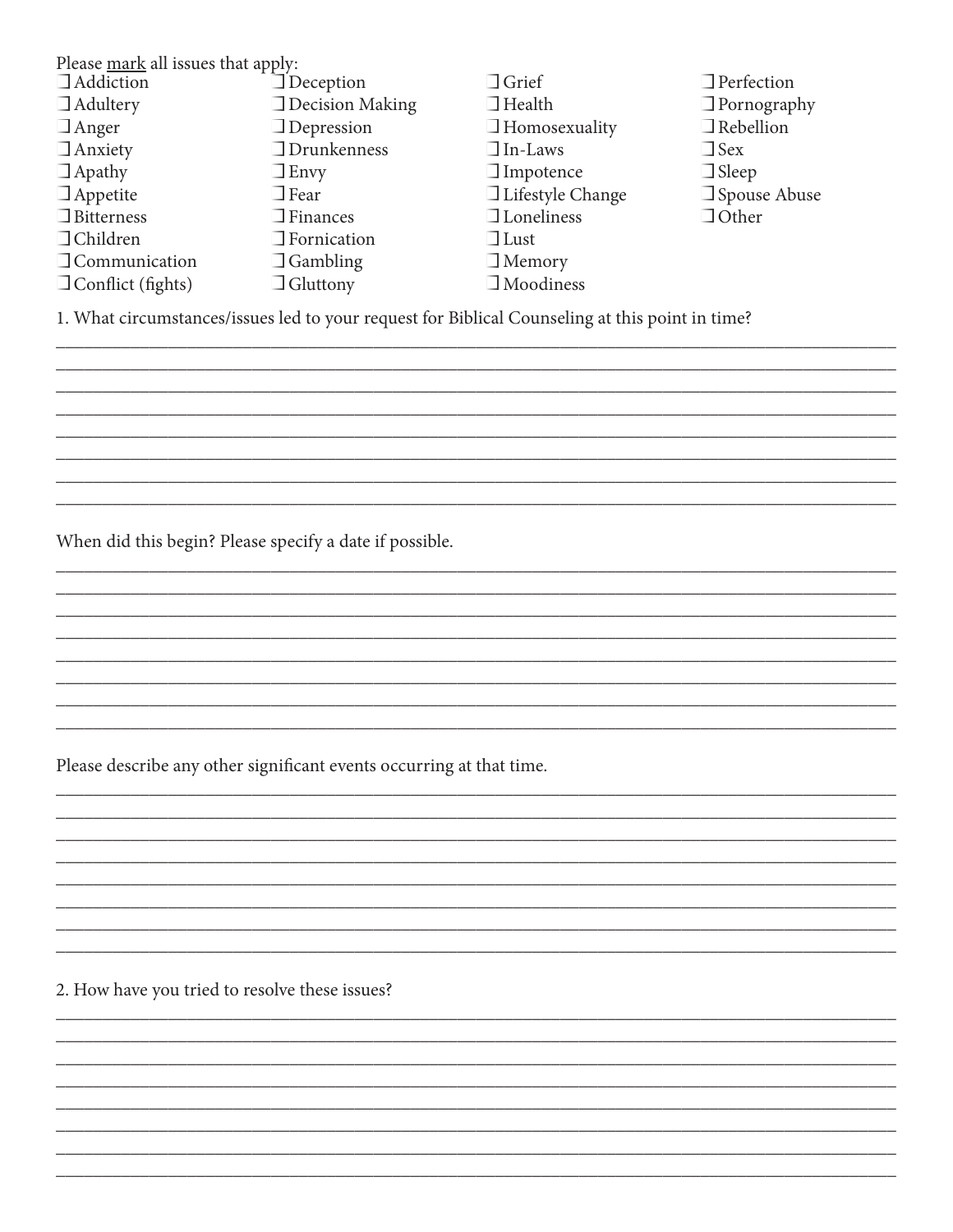| Please mark all issues that apply: |                        |                         |                     |  |  |
|------------------------------------|------------------------|-------------------------|---------------------|--|--|
| <b>Addiction</b>                   | $\Box$ Deception       | $\Box$ Grief            | $\Box$ Perfection   |  |  |
| $\Box$ Adultery                    | $\Box$ Decision Making | $\Box$ Health           | $\Box$ Pornography  |  |  |
| $\Box$ Anger                       | $\Box$ Depression      | $\Box$ Homosexuality    | $\Box$ Rebellion    |  |  |
| $\Box$ Anxiety                     | $\Box$ Drunkenness     | $\Box$ In-Laws          | $\Box$ Sex          |  |  |
| $\Box$ Apathy                      | $\Box$ Envy            | $\Box$ Impotence        | $\Box$ Sleep        |  |  |
| $\Box$ Appetite                    | $\Box$ Fear            | $\Box$ Lifestyle Change | $\Box$ Spouse Abuse |  |  |
| $\Box$ Bitterness                  | $\Box$ Finances        | $\Box$ Loneliness       | $\Box$ Other        |  |  |
| $\Box$ Children                    | $\Box$ Fornication     | $\Box$ Lust             |                     |  |  |
| $\Box$ Communication               | $\Box$ Gambling        | $\Box$ Memory           |                     |  |  |
| $\Box$ Conflict (fights)           | $\Box$ Gluttony        | $\Box$ Moodiness        |                     |  |  |

1. What circumstances/issues led to your request for Biblical Counseling at this point in time?

When did this begin? Please specify a date if possible.

Please describe any other significant events occurring at that time.

2. How have you tried to resolve these issues?